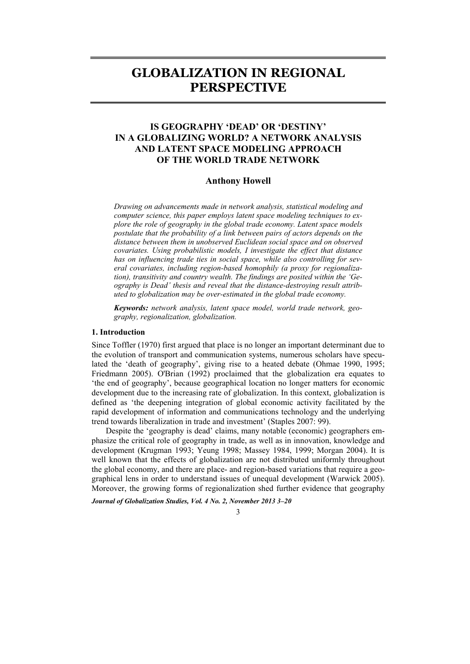# **GLOBALIZATION IN REGIONAL PERSPECTIVE**

## **IS GEOGRAPHY 'DEAD' OR 'DESTINY' IN A GLOBALIZING WORLD? A NETWORK ANALYSIS AND LATENT SPACE MODELING APPROACH OF THE WORLD TRADE NETWORK**

#### **Anthony Howell**

*Drawing on advancements made in network analysis, statistical modeling and computer science, this paper employs latent space modeling techniques to explore the role of geography in the global trade economy. Latent space models postulate that the probability of a link between pairs of actors depends on the distance between them in unobserved Euclidean social space and on observed covariates. Using probabilistic models, I investigate the effect that distance has on influencing trade ties in social space, while also controlling for several covariates, including region-based homophily (a proxy for regionalization), transitivity and country wealth. The findings are posited within the 'Geography is Dead' thesis and reveal that the distance-destroying result attributed to globalization may be over-estimated in the global trade economy.* 

*Keywords: network analysis, latent space model, world trade network, geography, regionalization, globalization.* 

#### **1. Introduction**

Since Toffler (1970) first argued that place is no longer an important determinant due to the evolution of transport and communication systems, numerous scholars have speculated the 'death of geography', giving rise to a heated debate (Ohmae 1990, 1995; Friedmann 2005). O'Brian (1992) proclaimed that the globalization era equates to 'the end of geography', because geographical location no longer matters for economic development due to the increasing rate of globalization. In this context, globalization is defined as 'the deepening integration of global economic activity facilitated by the rapid development of information and communications technology and the underlying trend towards liberalization in trade and investment' (Staples 2007: 99).

Despite the 'geography is dead' claims, many notable (economic) geographers emphasize the critical role of geography in trade, as well as in innovation, knowledge and development (Krugman 1993; Yeung 1998; Massey 1984, 1999; Morgan 2004). It is well known that the effects of globalization are not distributed uniformly throughout the global economy, and there are place- and region-based variations that require a geographical lens in order to understand issues of unequal development (Warwick 2005). Moreover, the growing forms of regionalization shed further evidence that geography

*Journal of Globalization Studies, Vol. 4 No. 2, November 2013 3–20* 

3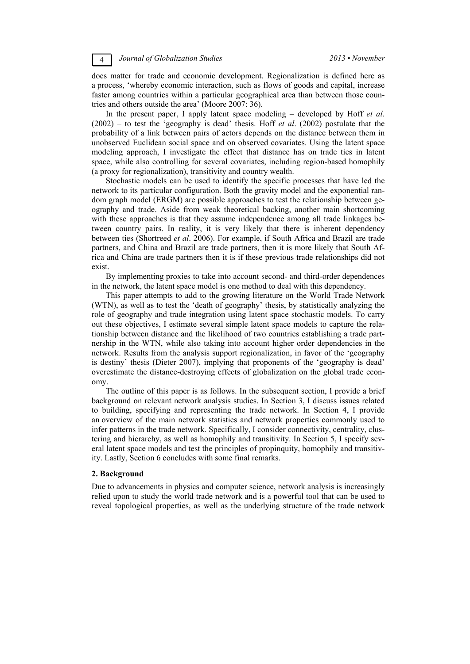does matter for trade and economic development. Regionalization is defined here as a process, 'whereby economic interaction, such as flows of goods and capital, increase faster among countries within a particular geographical area than between those countries and others outside the area' (Moore 2007: 36).

In the present paper, I apply latent space modeling – developed by Hoff *et al*. (2002) – to test the 'geography is dead' thesis. Hoff *et al*. (2002) postulate that the probability of a link between pairs of actors depends on the distance between them in unobserved Euclidean social space and on observed covariates. Using the latent space modeling approach, I investigate the effect that distance has on trade ties in latent space, while also controlling for several covariates, including region-based homophily (a proxy for regionalization), transitivity and country wealth.

Stochastic models can be used to identify the specific processes that have led the network to its particular configuration. Both the gravity model and the exponential random graph model (ERGM) are possible approaches to test the relationship between geography and trade. Aside from weak theoretical backing, another main shortcoming with these approaches is that they assume independence among all trade linkages between country pairs. In reality, it is very likely that there is inherent dependency between ties (Shortreed *et al*. 2006). For example, if South Africa and Brazil are trade partners, and China and Brazil are trade partners, then it is more likely that South Africa and China are trade partners then it is if these previous trade relationships did not exist.

By implementing proxies to take into account second- and third-order dependences in the network, the latent space model is one method to deal with this dependency.

This paper attempts to add to the growing literature on the World Trade Network (WTN), as well as to test the 'death of geography' thesis, by statistically analyzing the role of geography and trade integration using latent space stochastic models. To carry out these objectives, I estimate several simple latent space models to capture the relationship between distance and the likelihood of two countries establishing a trade partnership in the WTN, while also taking into account higher order dependencies in the network. Results from the analysis support regionalization, in favor of the 'geography is destiny' thesis (Dieter 2007), implying that proponents of the 'geography is dead' overestimate the distance-destroying effects of globalization on the global trade economy.

The outline of this paper is as follows. In the subsequent section, I provide a brief background on relevant network analysis studies. In Section 3, I discuss issues related to building, specifying and representing the trade network. In Section 4, I provide an overview of the main network statistics and network properties commonly used to infer patterns in the trade network. Specifically, I consider connectivity, centrality, clustering and hierarchy, as well as homophily and transitivity. In Section 5, I specify several latent space models and test the principles of propinquity, homophily and transitivity. Lastly, Section 6 concludes with some final remarks.

#### **2. Background**

Due to advancements in physics and computer science, network analysis is increasingly relied upon to study the world trade network and is a powerful tool that can be used to reveal topological properties, as well as the underlying structure of the trade network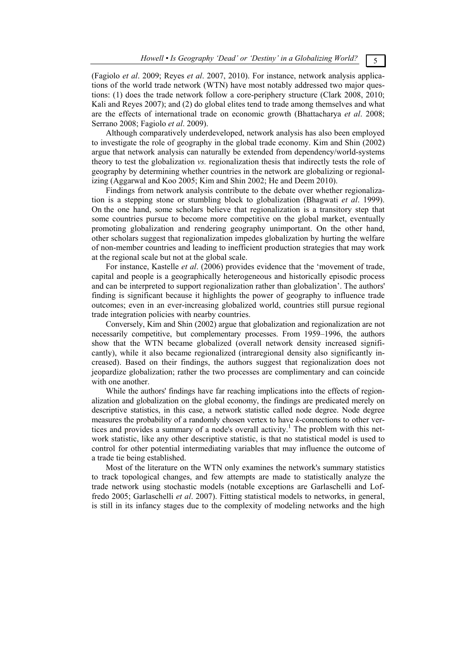(Fagiolo *et al*. 2009; Reyes *et al*. 2007, 2010). For instance, network analysis applications of the world trade network (WTN) have most notably addressed two major questions: (1) does the trade network follow a core-periphery structure (Clark 2008, 2010; Kali and Reyes 2007); and (2) do global elites tend to trade among themselves and what are the effects of international trade on economic growth (Bhattacharya *et al*. 2008; Serrano 2008; Fagiolo *et al*. 2009).

Although comparatively underdeveloped, network analysis has also been employed to investigate the role of geography in the global trade economy. Kim and Shin (2002) argue that network analysis can naturally be extended from dependency/world-systems theory to test the globalization *vs.* regionalization thesis that indirectly tests the role of geography by determining whether countries in the network are globalizing or regionalizing (Aggarwal and Koo 2005; Kim and Shin 2002; He and Deem 2010).

Findings from network analysis contribute to the debate over whether regionalization is a stepping stone or stumbling block to globalization (Bhagwati *et al*. 1999). On the one hand, some scholars believe that regionalization is a transitory step that some countries pursue to become more competitive on the global market, eventually promoting globalization and rendering geography unimportant. On the other hand, other scholars suggest that regionalization impedes globalization by hurting the welfare of non-member countries and leading to inefficient production strategies that may work at the regional scale but not at the global scale.

For instance, Kastelle *et al*. (2006) provides evidence that the 'movement of trade, capital and people is a geographically heterogeneous and historically episodic process and can be interpreted to support regionalization rather than globalization'. The authors' finding is significant because it highlights the power of geography to influence trade outcomes; even in an ever-increasing globalized world, countries still pursue regional trade integration policies with nearby countries.

Conversely, Kim and Shin (2002) argue that globalization and regionalization are not necessarily competitive, but complementary processes. From 1959–1996, the authors show that the WTN became globalized (overall network density increased significantly), while it also became regionalized (intraregional density also significantly increased). Based on their findings, the authors suggest that regionalization does not jeopardize globalization; rather the two processes are complimentary and can coincide with one another.

While the authors' findings have far reaching implications into the effects of regionalization and globalization on the global economy, the findings are predicated merely on descriptive statistics, in this case, a network statistic called node degree. Node degree measures the probability of a randomly chosen vertex to have *k*-connections to other vertices and provides a summary of a node's overall activity.<sup>1</sup> The problem with this network statistic, like any other descriptive statistic, is that no statistical model is used to control for other potential intermediating variables that may influence the outcome of a trade tie being established.

Most of the literature on the WTN only examines the network's summary statistics to track topological changes, and few attempts are made to statistically analyze the trade network using stochastic models (notable exceptions are Garlaschelli and Loffredo 2005; Garlaschelli *et al*. 2007). Fitting statistical models to networks, in general, is still in its infancy stages due to the complexity of modeling networks and the high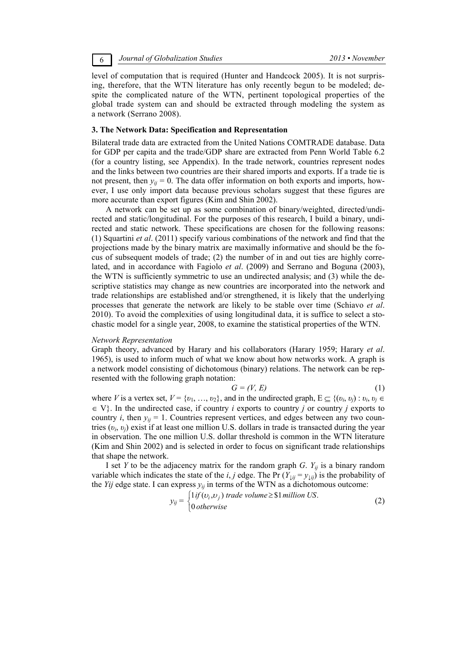6 *Journal of Globalization Studies 2013 • November* 

level of computation that is required (Hunter and Handcock 2005). It is not surprising, therefore, that the WTN literature has only recently begun to be modeled; despite the complicated nature of the WTN, pertinent topological properties of the global trade system can and should be extracted through modeling the system as a network (Serrano 2008).

#### **3. The Network Data: Specification and Representation**

Bilateral trade data are extracted from the United Nations COMTRADE database. Data for GDP per capita and the trade/GDP share are extracted from Penn World Table 6.2 (for a country listing, see Appendix). In the trade network, countries represent nodes and the links between two countries are their shared imports and exports. If a trade tie is not present, then  $y_{ij} = 0$ . The data offer information on both exports and imports, however, I use only import data because previous scholars suggest that these figures are more accurate than export figures (Kim and Shin 2002).

A network can be set up as some combination of binary/weighted, directed/undirected and static/longitudinal. For the purposes of this research, I build a binary, undirected and static network. These specifications are chosen for the following reasons: (1) Squartini *et al*. (2011) specify various combinations of the network and find that the projections made by the binary matrix are maximally informative and should be the focus of subsequent models of trade; (2) the number of in and out ties are highly correlated, and in accordance with Fagiolo *et al*. (2009) and Serrano and Boguna (2003), the WTN is sufficiently symmetric to use an undirected analysis; and (3) while the descriptive statistics may change as new countries are incorporated into the network and trade relationships are established and/or strengthened, it is likely that the underlying processes that generate the network are likely to be stable over time (Schiavo *et al*. 2010). To avoid the complexities of using longitudinal data, it is suffice to select a stochastic model for a single year, 2008, to examine the statistical properties of the WTN.

#### *Network Representation*

Graph theory, advanced by Harary and his collaborators (Harary 1959; Harary *et al*. 1965), is used to inform much of what we know about how networks work. A graph is a network model consisting of dichotomous (binary) relations. The network can be represented with the following graph notation:

$$
G = (V, E) \tag{1}
$$

where *V* is a vertex set,  $V = \{v_1, ..., v_2\}$ , and in the undirected graph,  $E \subseteq \{(v_i, v_j) : v_i, v_j \in E\}$  $\in$  V}. In the undirected case, if country *i* exports to country *j* or country *j* exports to country *i*, then  $y_{ij} = 1$ . Countries represent vertices, and edges between any two countries (*υi*, *υj*) exist if at least one million U.S. dollars in trade is transacted during the year in observation. The one million U.S. dollar threshold is common in the WTN literature (Kim and Shin 2002) and is selected in order to focus on significant trade relationships that shape the network.

I set *Y* to be the adjacency matrix for the random graph *G*.  $Y_{ij}$  is a binary random variable which indicates the state of the *i*, *j* edge. The Pr  $(Y_{\downarrow ij} = y_{\downarrow ij})$  is the probability of the *Yij* edge state. I can express  $y_{ij}$  in terms of the WTN as a dichotomous outcome:

$$
y_{ij} = \begin{cases} 1 \text{ if } (v_i, v_j) \text{ trade volume} \geq \$1 \text{ million US.} \\ 0 \text{ otherwise} \end{cases}
$$
 (2)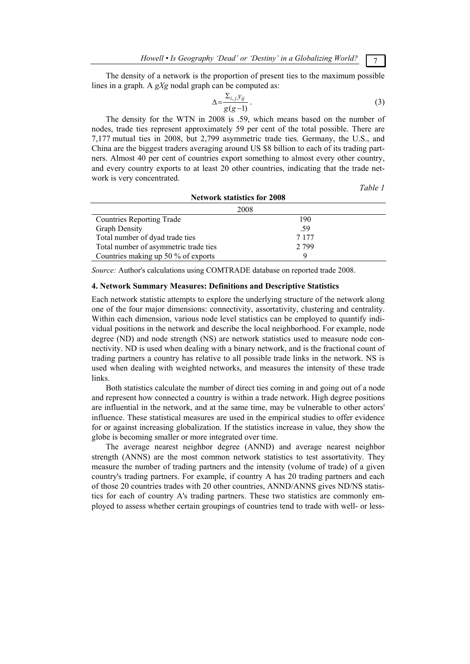The density of a network is the proportion of present ties to the maximum possible lines in a graph. A *gXg* nodal graph can be computed as:

$$
\Delta = \frac{\Sigma_{i,j} y_{ij}}{g(g-1)}.
$$
\n(3)

The density for the WTN in 2008 is .59, which means based on the number of nodes, trade ties represent approximately 59 per cent of the total possible. There are 7,177 mutual ties in 2008, but 2,799 asymmetric trade ties. Germany, the U.S., and China are the biggest traders averaging around US \$8 billion to each of its trading partners. Almost 40 per cent of countries export something to almost every other country, and every country exports to at least 20 other countries, indicating that the trade network is very concentrated.

*Table 1* 

| $11$ contractation $101$ zvv $0$      |         |  |  |  |
|---------------------------------------|---------|--|--|--|
|                                       | 2008    |  |  |  |
| <b>Countries Reporting Trade</b>      | 190     |  |  |  |
| <b>Graph Density</b>                  | .59     |  |  |  |
| Total number of dyad trade ties       | 7 1 7 7 |  |  |  |
| Total number of asymmetric trade ties | 2 7 9 9 |  |  |  |
| Countries making up 50 % of exports   |         |  |  |  |

**Network statistics for 2008** 

*Source:* Author's calculations using COMTRADE database on reported trade 2008.

#### **4. Network Summary Measures: Definitions and Descriptive Statistics**

Each network statistic attempts to explore the underlying structure of the network along one of the four major dimensions: connectivity, assortativity, clustering and centrality. Within each dimension, various node level statistics can be employed to quantify individual positions in the network and describe the local neighborhood. For example, node degree (ND) and node strength (NS) are network statistics used to measure node connectivity. ND is used when dealing with a binary network, and is the fractional count of trading partners a country has relative to all possible trade links in the network. NS is used when dealing with weighted networks, and measures the intensity of these trade links.

Both statistics calculate the number of direct ties coming in and going out of a node and represent how connected a country is within a trade network. High degree positions are influential in the network, and at the same time, may be vulnerable to other actors' influence. These statistical measures are used in the empirical studies to offer evidence for or against increasing globalization. If the statistics increase in value, they show the globe is becoming smaller or more integrated over time.

The average nearest neighbor degree (ANND) and average nearest neighbor strength (ANNS) are the most common network statistics to test assortativity. They measure the number of trading partners and the intensity (volume of trade) of a given country's trading partners. For example, if country A has 20 trading partners and each of those 20 countries trades with 20 other countries, ANND/ANNS gives ND/NS statistics for each of country A's trading partners. These two statistics are commonly employed to assess whether certain groupings of countries tend to trade with well- or less-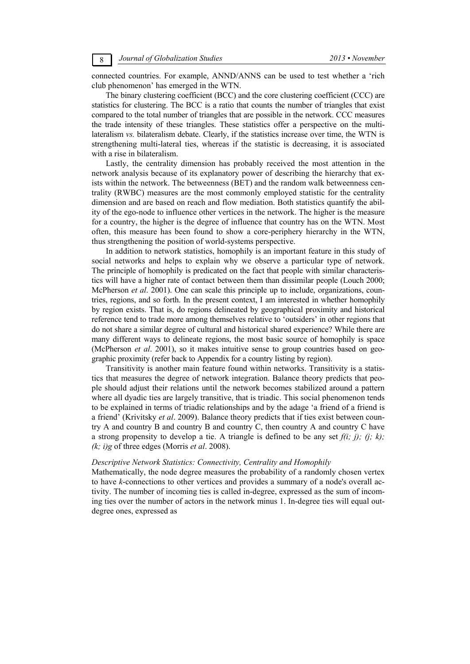connected countries. For example, ANND/ANNS can be used to test whether a 'rich club phenomenon' has emerged in the WTN.

The binary clustering coefficient (BCC) and the core clustering coefficient (CCC) are statistics for clustering. The BCC is a ratio that counts the number of triangles that exist compared to the total number of triangles that are possible in the network. CCC measures the trade intensity of these triangles. These statistics offer a perspective on the multilateralism *vs.* bilateralism debate. Clearly, if the statistics increase over time, the WTN is strengthening multi-lateral ties, whereas if the statistic is decreasing, it is associated with a rise in bilateralism.

Lastly, the centrality dimension has probably received the most attention in the network analysis because of its explanatory power of describing the hierarchy that exists within the network. The betweenness (BET) and the random walk betweenness centrality (RWBC) measures are the most commonly employed statistic for the centrality dimension and are based on reach and flow mediation. Both statistics quantify the ability of the ego-node to influence other vertices in the network. The higher is the measure for a country, the higher is the degree of influence that country has on the WTN. Most often, this measure has been found to show a core-periphery hierarchy in the WTN, thus strengthening the position of world-systems perspective.

In addition to network statistics, homophily is an important feature in this study of social networks and helps to explain why we observe a particular type of network. The principle of homophily is predicated on the fact that people with similar characteristics will have a higher rate of contact between them than dissimilar people (Louch 2000; McPherson *et al*. 2001). One can scale this principle up to include, organizations, countries, regions, and so forth. In the present context, I am interested in whether homophily by region exists. That is, do regions delineated by geographical proximity and historical reference tend to trade more among themselves relative to 'outsiders' in other regions that do not share a similar degree of cultural and historical shared experience? While there are many different ways to delineate regions, the most basic source of homophily is space (McPherson *et al*. 2001), so it makes intuitive sense to group countries based on geographic proximity (refer back to Appendix for a country listing by region).

Transitivity is another main feature found within networks. Transitivity is a statistics that measures the degree of network integration. Balance theory predicts that people should adjust their relations until the network becomes stabilized around a pattern where all dyadic ties are largely transitive, that is triadic. This social phenomenon tends to be explained in terms of triadic relationships and by the adage 'a friend of a friend is a friend' (Krivitsky *et al*. 2009). Balance theory predicts that if ties exist between country A and country B and country B and country C, then country A and country C have a strong propensity to develop a tie. A triangle is defined to be any set  $f(i; j)$ ;  $(i; k)$ ; *(k; i)g* of three edges (Morris *et al*. 2008).

#### *Descriptive Network Statistics: Connectivity, Centrality and Homophily*

Mathematically, the node degree measures the probability of a randomly chosen vertex to have *k*-connections to other vertices and provides a summary of a node's overall activity. The number of incoming ties is called in-degree, expressed as the sum of incoming ties over the number of actors in the network minus 1. In-degree ties will equal outdegree ones, expressed as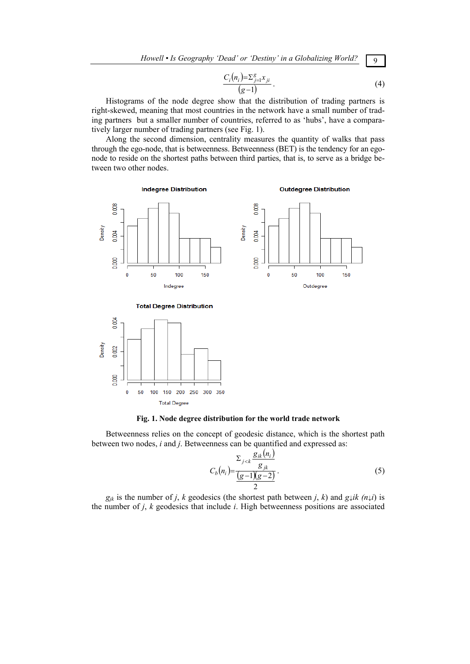$$
\frac{C_i(n_i) = \sum_{j=1}^g x_{ji}}{(g-1)}.
$$
\n(4)

Histograms of the node degree show that the distribution of trading partners is right-skewed, meaning that most countries in the network have a small number of trading partners but a smaller number of countries, referred to as 'hubs', have a comparatively larger number of trading partners (see Fig. 1).

Along the second dimension, centrality measures the quantity of walks that pass through the ego-node, that is betweenness. Betweenness (BET) is the tendency for an egonode to reside on the shortest paths between third parties, that is, to serve as a bridge between two other nodes.





100 150 200 250 300 350

**Total Degree** 

 $0.000$ 

 $\mathbf{0}$ 50

Betweenness relies on the concept of geodesic distance, which is the shortest path between two nodes, *i* and *j*. Betweenness can be quantified and expressed as:

$$
C_b(n_i) = \frac{\sum_{j < k} \frac{g_{ik}(n_i)}{g_{jk}}}{\frac{\left(g - 1\right)\left(g - 2\right)}{2}}.
$$
\n(5)

 $g_{ik}$  is the number of *j*, *k* geodesics (the shortest path between *j*, *k*) and  $g_{\downarrow}$ *ik* ( $n_{\downarrow}$ *i*) is the number of *j*, *k* geodesics that include *i*. High betweenness positions are associated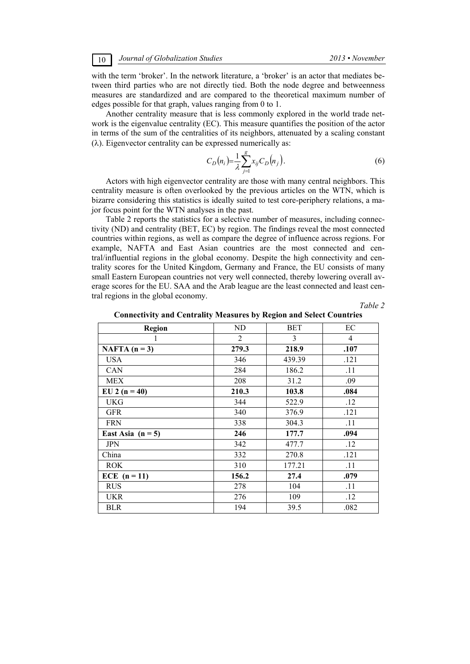with the term 'broker'. In the network literature, a 'broker' is an actor that mediates between third parties who are not directly tied. Both the node degree and betweenness measures are standardized and are compared to the theoretical maximum number of edges possible for that graph, values ranging from 0 to 1.

Another centrality measure that is less commonly explored in the world trade network is the eigenvalue centrality (EC). This measure quantifies the position of the actor in terms of the sum of the centralities of its neighbors, attenuated by a scaling constant  $(\lambda)$ . Eigenvector centrality can be expressed numerically as:

$$
C_D(n_i) = \frac{1}{\lambda} \sum_{j=1}^{g} x_{ij} C_D(n_j).
$$
 (6)

Actors with high eigenvector centrality are those with many central neighbors. This centrality measure is often overlooked by the previous articles on the WTN, which is bizarre considering this statistics is ideally suited to test core-periphery relations, a major focus point for the WTN analyses in the past.

Table 2 reports the statistics for a selective number of measures, including connectivity (ND) and centrality (BET, EC) by region. The findings reveal the most connected countries within regions, as well as compare the degree of influence across regions. For example, NAFTA and East Asian countries are the most connected and central/influential regions in the global economy. Despite the high connectivity and centrality scores for the United Kingdom, Germany and France, the EU consists of many small Eastern European countries not very well connected, thereby lowering overall average scores for the EU. SAA and the Arab league are the least connected and least central regions in the global economy.

*Table 2* 

**Connectivity and Centrality Measures by Region and Select Countries** 

| <b>Region</b>       | ND    | <b>BET</b> | EC             |
|---------------------|-------|------------|----------------|
|                     | 2     | 3          | $\overline{4}$ |
| NAFTA $(n = 3)$     | 279.3 | 218.9      | .107           |
| <b>USA</b>          | 346   | 439.39     | .121           |
| <b>CAN</b>          | 284   | 186.2      | .11            |
| MEX                 | 208   | 31.2       | .09            |
| EU 2 ( $n = 40$ )   | 210.3 | 103.8      | .084           |
| UKG                 | 344   | 522.9      | .12            |
| <b>GFR</b>          | 340   | 376.9      | .121           |
| <b>FRN</b>          | 338   | 304.3      | .11            |
| East Asia $(n = 5)$ | 246   | 177.7      | .094           |
| <b>JPN</b>          | 342   | 477.7      | .12            |
| China               | 332   | 270.8      | .121           |
| <b>ROK</b>          | 310   | 177.21     | .11            |
| ECE $(n = 11)$      | 156.2 | 27.4       | .079           |
| <b>RUS</b>          | 278   | 104        | .11            |
| <b>UKR</b>          | 276   | 109        | .12            |
| <b>BLR</b>          | 194   | 39.5       | .082           |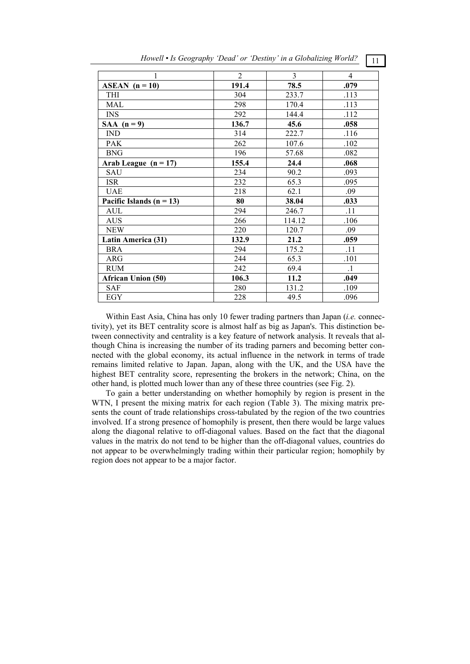|                              | $\overline{2}$ | 3      | $\overline{4}$ |
|------------------------------|----------------|--------|----------------|
| $ASEAN (n=10)$               | 191.4          | 78.5   | .079           |
| THI                          | 304            | 233.7  | .113           |
| MAL                          | 298            | 170.4  | .113           |
| <b>INS</b>                   | 292            | 144.4  | .112           |
| SAA $(n=9)$                  | 136.7          | 45.6   | .058           |
| <b>IND</b>                   | 314            | 222.7  | .116           |
| <b>PAK</b>                   | 262            | 107.6  | .102           |
| <b>BNG</b>                   | 196            | 57.68  | .082           |
| Arab League $(n = 17)$       | 155.4          | 24.4   | .068           |
| <b>SAU</b>                   | 234            | 90.2   | .093           |
| <b>ISR</b>                   | 232            | 65.3   | .095           |
| <b>UAE</b>                   | 218            | 62.1   | .09            |
| Pacific Islands ( $n = 13$ ) | 80             | 38.04  | .033           |
| AUL                          | 294            | 246.7  | .11            |
| <b>AUS</b>                   | 266            | 114.12 | .106           |
| <b>NEW</b>                   | 220            | 120.7  | .09            |
| Latin America (31)           | 132.9          | 21.2   | .059           |
| <b>BRA</b>                   | 294            | 175.2  | .11            |
| ARG                          | 244            | 65.3   | .101           |
| <b>RUM</b>                   | 242            | 69.4   | $\cdot$ 1      |
| <b>African Union (50)</b>    | 106.3          | 11.2   | .049           |
| <b>SAF</b>                   | 280            | 131.2  | .109           |
| EGY                          | 228            | 49.5   | .096           |

*Howell • Is Geography 'Dead' or 'Destiny' in a Globalizing World?* 11

Within East Asia, China has only 10 fewer trading partners than Japan (*i.e.* connectivity), yet its BET centrality score is almost half as big as Japan's. This distinction between connectivity and centrality is a key feature of network analysis. It reveals that although China is increasing the number of its trading parners and becoming better connected with the global economy, its actual influence in the network in terms of trade remains limited relative to Japan. Japan, along with the UK, and the USA have the highest BET centrality score, representing the brokers in the network; China, on the other hand, is plotted much lower than any of these three countries (see Fig. 2).

To gain a better understanding on whether homophily by region is present in the WTN, I present the mixing matrix for each region (Table 3). The mixing matrix presents the count of trade relationships cross-tabulated by the region of the two countries involved. If a strong presence of homophily is present, then there would be large values along the diagonal relative to off-diagonal values. Based on the fact that the diagonal values in the matrix do not tend to be higher than the off-diagonal values, countries do not appear to be overwhelmingly trading within their particular region; homophily by region does not appear to be a major factor.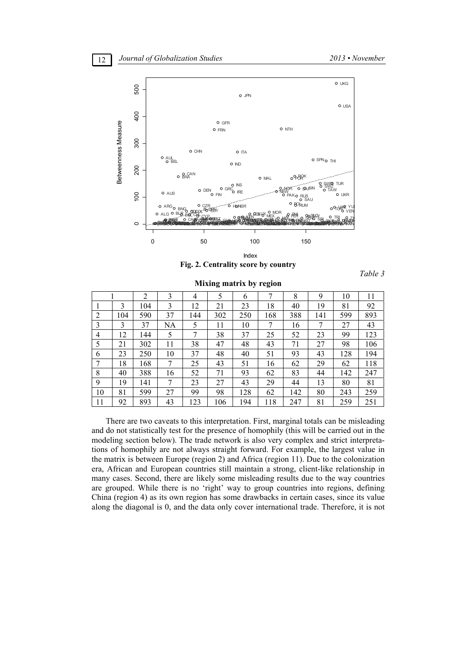

**Fig. 2. Centrality score by country**  Index

*Table 3* 

|    |     | C<br>∠ | 3  | 4   | 5   | 6   | 7   | 8   | 9   | 10  | 11  |
|----|-----|--------|----|-----|-----|-----|-----|-----|-----|-----|-----|
|    | 3   | 104    | 3  | 12  | 21  | 23  | 18  | 40  | 19  | 81  | 92  |
| 2  | 104 | 590    | 37 | 144 | 302 | 250 | 168 | 388 | 141 | 599 | 893 |
| 3  | 3   | 37     | NA | 5   | 11  | 10  | 7   | 16  | 7   | 27  | 43  |
| 4  | 12  | 144    | 5  | 7   | 38  | 37  | 25  | 52  | 23  | 99  | 123 |
| 5  | 21  | 302    | 11 | 38  | 47  | 48  | 43  | 71  | 27  | 98  | 106 |
| 6  | 23  | 250    | 10 | 37  | 48  | 40  | 51  | 93  | 43  | 128 | 194 |
| 7  | 18  | 168    | 7  | 25  | 43  | 51  | 16  | 62  | 29  | 62  | 118 |
| 8  | 40  | 388    | 16 | 52  | 71  | 93  | 62  | 83  | 44  | 142 | 247 |
| 9  | 19  | 141    | 7  | 23  | 27  | 43  | 29  | 44  | 13  | 80  | 81  |
| 10 | 81  | 599    | 27 | 99  | 98  | 128 | 62  | 142 | 80  | 243 | 259 |
| 11 | 92  | 893    | 43 | 123 | 106 | 194 | 118 | 247 | 81  | 259 | 251 |

**Mixing matrix by region** 

There are two caveats to this interpretation. First, marginal totals can be misleading and do not statistically test for the presence of homophily (this will be carried out in the modeling section below). The trade network is also very complex and strict interpretations of homophily are not always straight forward. For example, the largest value in the matrix is between Europe (region 2) and Africa (region 11). Due to the colonization era, African and European countries still maintain a strong, client-like relationship in many cases. Second, there are likely some misleading results due to the way countries are grouped. While there is no 'right' way to group countries into regions, defining China (region 4) as its own region has some drawbacks in certain cases, since its value along the diagonal is 0, and the data only cover international trade. Therefore, it is not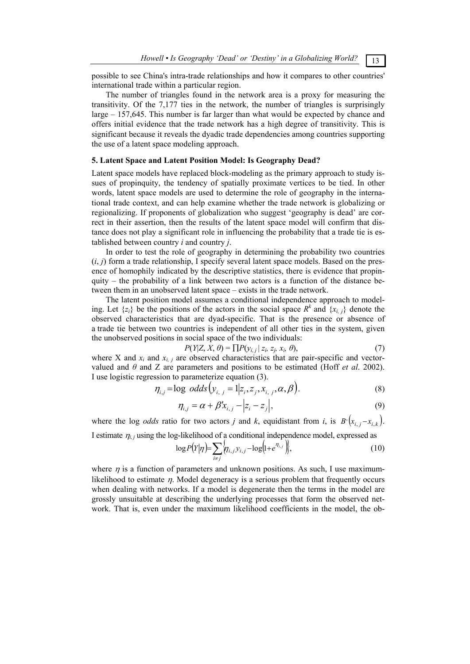possible to see China's intra-trade relationships and how it compares to other countries' international trade within a particular region.

The number of triangles found in the network area is a proxy for measuring the transitivity. Of the 7,177 ties in the network, the number of triangles is surprisingly large – 157,645. This number is far larger than what would be expected by chance and offers initial evidence that the trade network has a high degree of transitivity. This is significant because it reveals the dyadic trade dependencies among countries supporting the use of a latent space modeling approach.

### **5. Latent Space and Latent Position Model: Is Geography Dead?**

Latent space models have replaced block-modeling as the primary approach to study issues of propinquity, the tendency of spatially proximate vertices to be tied. In other words, latent space models are used to determine the role of geography in the international trade context, and can help examine whether the trade network is globalizing or regionalizing. If proponents of globalization who suggest 'geography is dead' are correct in their assertion, then the results of the latent space model will confirm that distance does not play a significant role in influencing the probability that a trade tie is established between country *i* and country *j*.

In order to test the role of geography in determining the probability two countries  $(i, j)$  form a trade relationship, I specify several latent space models. Based on the presence of homophily indicated by the descriptive statistics, there is evidence that propinquity – the probability of a link between two actors is a function of the distance between them in an unobserved latent space – exists in the trade network.

The latent position model assumes a conditional independence approach to modeling. Let  $\{z_i\}$  be the positions of the actors in the social space  $R^k$  and  $\{x_{i,j}\}$  denote the observed characteristics that are dyad-specific. That is the presence or absence of a trade tie between two countries is independent of all other ties in the system, given the unobserved positions in social space of the two individuals:

$$
P(Y|Z, X, \theta) = \prod P(y_{i,j} | z_i, z_j, x_i, \theta),
$$
\n<sup>(7)</sup>

where X and  $x_i$  and  $x_{i,j}$  are observed characteristics that are pair-specific and vectorvalued and *θ* and Z are parameters and positions to be estimated (Hoff *et al*. 2002). I use logistic regression to parameterize equation (3).

$$
\eta_{i,j} = \log \text{ odds}\big(y_{i,j} = 1 | z_i, z_j, x_{i,j}, \alpha, \beta\big). \tag{8}
$$

$$
\eta_{i,j} = \alpha + \beta' x_{i,j} - \left| z_i - z_j \right|,\tag{9}
$$

where the log *odds* ratio for two actors *j* and *k*, equidistant from *i*, is  $B^{t}(x_{i,j} - x_{i,k})$ .

I estimate  $\eta_{i,j}$  using the log-likelihood of a conditional independence model, expressed as

$$
\log P(Y|\eta) = \sum_{i \neq j} \{\eta_{i,j} y_{i,j} - \log(1 + e^{\eta_{i,j}})\},\tag{10}
$$

where  $\eta$  is a function of parameters and unknown positions. As such, I use maximumlikelihood to estimate  $n$ . Model degeneracy is a serious problem that frequently occurs when dealing with networks. If a model is degenerate then the terms in the model are grossly unsuitable at describing the underlying processes that form the observed network. That is, even under the maximum likelihood coefficients in the model, the ob-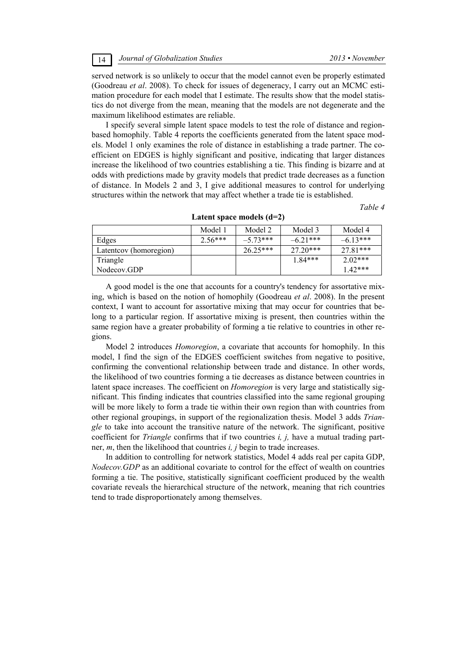served network is so unlikely to occur that the model cannot even be properly estimated (Goodreau *et al*. 2008). To check for issues of degeneracy, I carry out an MCMC estimation procedure for each model that I estimate. The results show that the model statistics do not diverge from the mean, meaning that the models are not degenerate and the maximum likelihood estimates are reliable.

I specify several simple latent space models to test the role of distance and regionbased homophily. Table 4 reports the coefficients generated from the latent space models. Model 1 only examines the role of distance in establishing a trade partner. The coefficient on EDGES is highly significant and positive, indicating that larger distances increase the likelihood of two countries establishing a tie. This finding is bizarre and at odds with predictions made by gravity models that predict trade decreases as a function of distance. In Models 2 and 3, I give additional measures to control for underlying structures within the network that may affect whether a trade tie is established.

*Table 4* 

|                        | Model 1   | Model 2    | Model 3    | Model 4    |
|------------------------|-----------|------------|------------|------------|
| Edges                  | $2.56***$ | $-5.73***$ | $-6.21***$ | $-6.13***$ |
| Latentcov (homoregion) |           | $26.25***$ | $27.20***$ | $27.81***$ |
| Triangle               |           |            | $1.84***$  | $2.02***$  |
| Nodecov.GDP            |           |            |            | $1.42***$  |

**Latent space models (d=2)** 

A good model is the one that accounts for a country's tendency for assortative mixing, which is based on the notion of homophily (Goodreau *et al*. 2008). In the present context, I want to account for assortative mixing that may occur for countries that belong to a particular region. If assortative mixing is present, then countries within the same region have a greater probability of forming a tie relative to countries in other regions.

Model 2 introduces *Homoregion*, a covariate that accounts for homophily. In this model, I find the sign of the EDGES coefficient switches from negative to positive, confirming the conventional relationship between trade and distance. In other words, the likelihood of two countries forming a tie decreases as distance between countries in latent space increases. The coefficient on *Homoregion* is very large and statistically significant. This finding indicates that countries classified into the same regional grouping will be more likely to form a trade tie within their own region than with countries from other regional groupings, in support of the regionalization thesis. Model 3 adds *Triangle* to take into account the transitive nature of the network. The significant, positive coefficient for *Triangle* confirms that if two countries *i, j,* have a mutual trading partner, *m*, then the likelihood that countries *i, j* begin to trade increases.

In addition to controlling for network statistics, Model 4 adds real per capita GDP, *Nodecov.GDP* as an additional covariate to control for the effect of wealth on countries forming a tie. The positive, statistically significant coefficient produced by the wealth covariate reveals the hierarchical structure of the network, meaning that rich countries tend to trade disproportionately among themselves.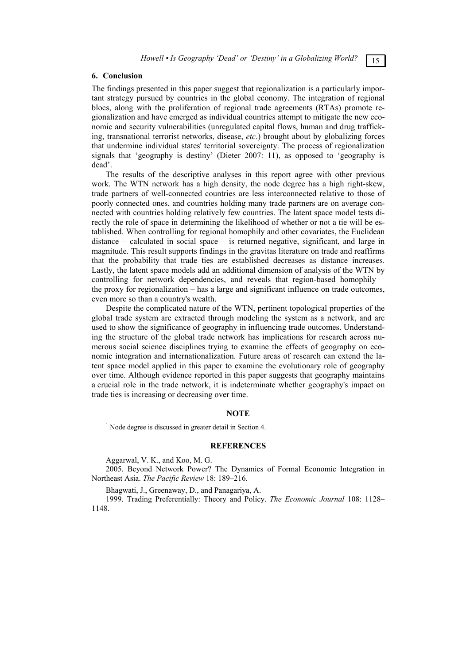### **6. Conclusion**

The findings presented in this paper suggest that regionalization is a particularly important strategy pursued by countries in the global economy. The integration of regional blocs, along with the proliferation of regional trade agreements (RTAs) promote regionalization and have emerged as individual countries attempt to mitigate the new economic and security vulnerabilities (unregulated capital flows, human and drug trafficking, transnational terrorist networks, disease, *etc*.) brought about by globalizing forces that undermine individual states' territorial sovereignty. The process of regionalization signals that 'geography is destiny' (Dieter 2007: 11), as opposed to 'geography is dead'.

The results of the descriptive analyses in this report agree with other previous work. The WTN network has a high density, the node degree has a high right-skew, trade partners of well-connected countries are less interconnected relative to those of poorly connected ones, and countries holding many trade partners are on average connected with countries holding relatively few countries. The latent space model tests directly the role of space in determining the likelihood of whether or not a tie will be established. When controlling for regional homophily and other covariates, the Euclidean  $distance - calculated$  in social space – is returned negative, significant, and large in magnitude. This result supports findings in the gravitas literature on trade and reaffirms that the probability that trade ties are established decreases as distance increases. Lastly, the latent space models add an additional dimension of analysis of the WTN by controlling for network dependencies, and reveals that region-based homophily – the proxy for regionalization – has a large and significant influence on trade outcomes, even more so than a country's wealth.

Despite the complicated nature of the WTN, pertinent topological properties of the global trade system are extracted through modeling the system as a network, and are used to show the significance of geography in influencing trade outcomes. Understanding the structure of the global trade network has implications for research across numerous social science disciplines trying to examine the effects of geography on economic integration and internationalization. Future areas of research can extend the latent space model applied in this paper to examine the evolutionary role of geography over time. Although evidence reported in this paper suggests that geography maintains a crucial role in the trade network, it is indeterminate whether geography's impact on trade ties is increasing or decreasing over time.

#### **NOTE**

<sup>1</sup> Node degree is discussed in greater detail in Section 4.

#### **REFERENCES**

Aggarwal, V. K., and Koo, M. G.

2005. Beyond Network Power? The Dynamics of Formal Economic Integration in Northeast Asia. *The Pacific Review* 18: 189–216.

Bhagwati, J., Greenaway, D., and Panagariya, A.

1999. Trading Preferentially: Theory and Policy. *The Economic Journal* 108: 1128– 1148.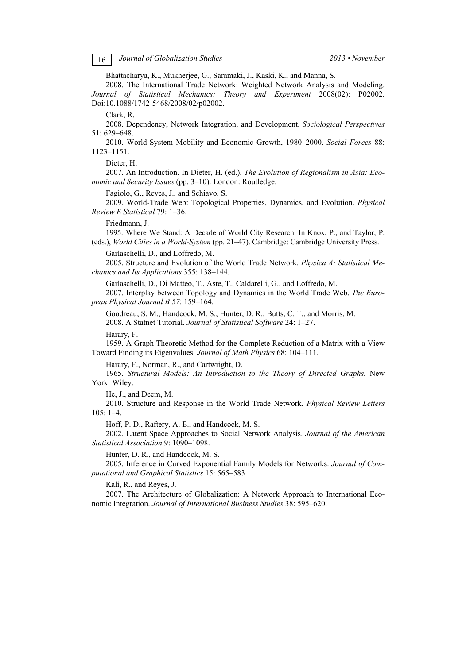Bhattacharya, K., Mukherjee, G., Saramaki, J., Kaski, K., and Manna, S.

2008. The International Trade Network: Weighted Network Analysis and Modeling. *Journal of Statistical Mechanics: Theory and Experiment* 2008(02): P02002. Doi:10.1088/1742-5468/2008/02/p02002.

Clark, R.

2008. Dependency, Network Integration, and Development. *Sociological Perspectives*  51: 629–648.

2010. World-System Mobility and Economic Growth, 1980–2000. *Social Forces* 88: 1123–1151.

Dieter, H.

2007. An Introduction. In Dieter, H. (ed.), *The Evolution of Regionalism in Asia: Economic and Security Issues* (pp. 3–10). London: Routledge.

Fagiolo, G., Reyes, J., and Schiavo, S.

2009. World-Trade Web: Topological Properties, Dynamics, and Evolution. *Physical Review E Statistical* 79: 1–36.

Friedmann, J.

1995. Where We Stand: A Decade of World City Research. In Knox, P., and Taylor, P. (eds.), *World Cities in a World-System* (pp. 21–47). Cambridge: Cambridge University Press.

Garlaschelli, D., and Loffredo, M.

2005. Structure and Evolution of the World Trade Network. *Physica A: Statistical Mechanics and Its Applications* 355: 138–144.

Garlaschelli, D., Di Matteo, T., Aste, T., Caldarelli, G., and Loffredo, M.

2007. Interplay between Topology and Dynamics in the World Trade Web. *The European Physical Journal B 57*: 159–164.

Goodreau, S. M., Handcock, M. S., Hunter, D. R., Butts, C. T., and Morris, M. 2008. A Statnet Tutorial. *Journal of Statistical Software* 24: 1–27.

Harary, F.

1959. A Graph Theoretic Method for the Complete Reduction of a Matrix with a View Toward Finding its Eigenvalues. *Journal of Math Physics* 68: 104–111.

Harary, F., Norman, R., and Cartwright, D.

1965. *Structural Models: An Introduction to the Theory of Directed Graphs.* New York: Wiley.

He, J., and Deem, M.

2010. Structure and Response in the World Trade Network. *Physical Review Letters* 105: 1–4.

Hoff, P. D., Raftery, A. E., and Handcock, M. S.

2002. Latent Space Approaches to Social Network Analysis. *Journal of the American Statistical Association* 9: 1090–1098.

Hunter, D. R., and Handcock, M. S.

2005. Inference in Curved Exponential Family Models for Networks. *Journal of Computational and Graphical Statistics* 15: 565–583.

Kali, R., and Reyes, J.

2007. The Architecture of Globalization: A Network Approach to International Economic Integration. *Journal of International Business Studies* 38: 595–620.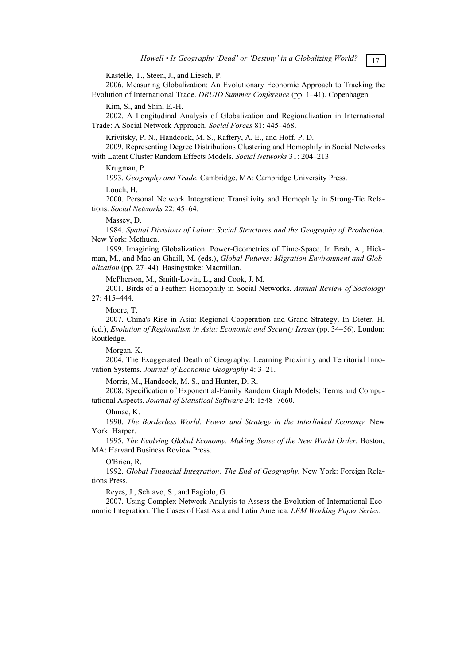Kastelle, T., Steen, J., and Liesch, P.

2006. Measuring Globalization: An Evolutionary Economic Approach to Tracking the Evolution of International Trade. *DRUID Summer Conference* (рр. 1–41). Copenhagen*.*

Kim, S., and Shin, E.-H.

2002. A Longitudinal Analysis of Globalization and Regionalization in International Trade: A Social Network Approach. *Social Forces* 81: 445–468.

Krivitsky, P. N., Handcock, M. S., Raftery, A. E., and Hoff, P. D.

2009. Representing Degree Distributions Clustering and Homophily in Social Networks with Latent Cluster Random Effects Models. *Social Networks* 31: 204–213.

Krugman, P.

1993. *Geography and Trade.* Cambridge, MA: Cambridge University Press.

Louch, H.

2000. Personal Network Integration: Transitivity and Homophily in Strong-Tie Relations. *Social Networks* 22: 45–64.

#### Massey, D.

1984. *Spatial Divisions of Labor: Social Structures and the Geography of Production.*  New York: Methuen.

1999. Imagining Globalization: Power-Geometries of Time-Space. In Brah, A., Hickman, M., and Mac an Ghaill, M. (eds.), *Global Futures: Migration Environment and Globalization* (pp. 27–44)*.* Basingstoke: Macmillan.

McPherson, M., Smith-Lovin, L., and Cook, J. M.

2001. Birds of a Feather: Homophily in Social Networks. *Annual Review of Sociology* 27: 415–444.

Moore, T.

2007. China's Rise in Asia: Regional Cooperation and Grand Strategy. In Dieter, H. (ed.), *Evolution of Regionalism in Asia: Economic and Security Issues* (pp. 34–56)*.* London: Routledge.

Morgan, K.

2004. The Exaggerated Death of Geography: Learning Proximity and Territorial Innovation Systems. *Journal of Economic Geography* 4: 3–21.

Morris, M., Handcock, M. S., and Hunter, D. R.

2008. Specification of Exponential-Family Random Graph Models: Terms and Computational Aspects. *Journal of Statistical Software* 24: 1548–7660.

Ohmae, K.

1990. *The Borderless World: Power and Strategy in the Interlinked Economy.* New York: Harper.

1995. *The Evolving Global Economy: Making Sense of the New World Order.* Boston, MA: Harvard Business Review Press.

O'Brien, R.

1992. *Global Financial Integration: The End of Geography.* New York: Foreign Relations Press.

Reyes, J., Schiavo, S., and Fagiolo, G.

2007. Using Complex Network Analysis to Assess the Evolution of International Economic Integration: The Cases of East Asia and Latin America. *LEM Working Paper Series.*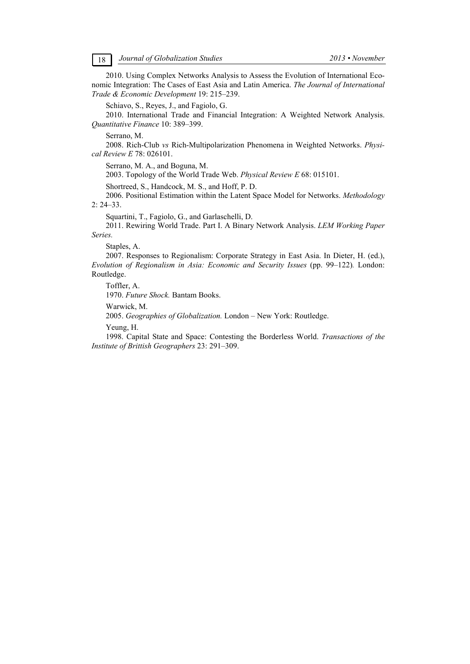2010. Using Complex Networks Analysis to Assess the Evolution of International Economic Integration: The Cases of East Asia and Latin America. *The Journal of International Trade & Economic Development* 19: 215–239.

Schiavo, S., Reyes, J., and Fagiolo, G.

2010. International Trade and Financial Integration: A Weighted Network Analysis. *Quantitative Finance* 10: 389–399.

Serrano, M.

2008. Rich-Club *vs* Rich-Multipolarization Phenomena in Weighted Networks. *Physical Review E* 78: 026101.

Serrano, M. A., and Boguna, M.

2003. Topology of the World Trade Web. *Physical Review E* 68: 015101.

Shortreed, S., Handcock, M. S., and Hoff, P. D.

2006. Positional Estimation within the Latent Space Model for Networks. *Methodology* 2: 24–33.

Squartini, T., Fagiolo, G., and Garlaschelli, D.

2011. Rewiring World Trade. Part I. A Binary Network Analysis. *LEM Working Paper Series.*

Staples, A.

2007. Responses to Regionalism: Corporate Strategy in East Asia. In Dieter, H. (ed.), *Evolution of Regionalism in Asia: Economic and Security Issues* (pp. 99–122)*.* London: Routledge.

Toffler, A.

1970. *Future Shock.* Bantam Books.

Warwick, M.

2005. *Geographies of Globalization.* London – New York: Routledge.

Yeung, H.

1998. Capital State and Space: Contesting the Borderless World. *Transactions of the Institute of Brittish Geographers* 23: 291–309.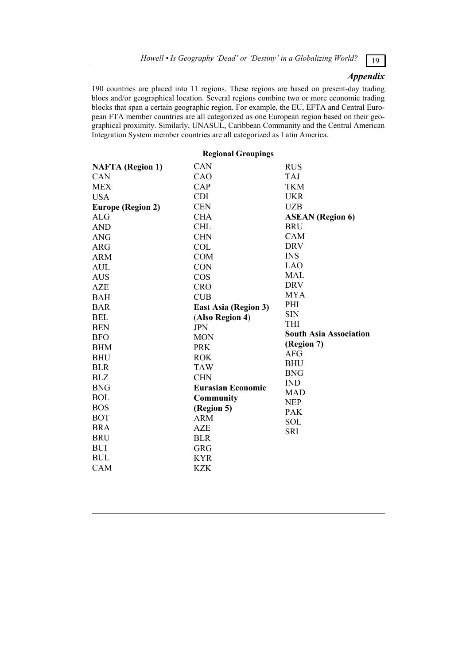## *Appendix*

190 countries are placed into 11 regions. These regions are based on present-day trading blocs and/or geographical location. Several regions combine two or more economic trading blocks that span a certain geographic region. For example, the EU, EFTA and Central European FTA member countries are all categorized as one European region based on their geographical proximity. Similarly, UNASUL, Caribbean Community and the Central American Integration System member countries are all categorized as Latin America.

## **Regional Groupings**

| <b>NAFTA</b> (Region 1)  | <b>CAN</b>                  | <b>RUS</b>                    |
|--------------------------|-----------------------------|-------------------------------|
| <b>CAN</b>               | CAO                         | <b>TAJ</b>                    |
| <b>MEX</b>               | CAP                         | TKM                           |
| <b>USA</b>               | <b>CDI</b>                  | <b>UKR</b>                    |
| <b>Europe (Region 2)</b> | <b>CEN</b>                  | <b>UZB</b>                    |
| ALG                      | <b>CHA</b>                  | <b>ASEAN</b> (Region 6)       |
| <b>AND</b>               | <b>CHL</b>                  | <b>BRU</b>                    |
| <b>ANG</b>               | <b>CHN</b>                  | CAM                           |
| <b>ARG</b>               | <b>COL</b>                  | <b>DRV</b>                    |
| <b>ARM</b>               | <b>COM</b>                  | <b>INS</b>                    |
| <b>AUL</b>               | <b>CON</b>                  | <b>LAO</b>                    |
| <b>AUS</b>               | <b>COS</b>                  | MAL                           |
| <b>AZE</b>               | <b>CRO</b>                  | <b>DRV</b>                    |
| <b>BAH</b>               | <b>CUB</b>                  | <b>MYA</b>                    |
| <b>BAR</b>               | <b>East Asia (Region 3)</b> | PHI                           |
|                          |                             | <b>SIN</b>                    |
| <b>BEL</b>               | (Also Region 4)             |                               |
| <b>BEN</b>               | <b>JPN</b>                  | THI                           |
| <b>BFO</b>               | <b>MON</b>                  | <b>South Asia Association</b> |
| <b>BHM</b>               | <b>PRK</b>                  | (Region 7)                    |
| <b>BHU</b>               | <b>ROK</b>                  | AFG                           |
| <b>BLR</b>               | <b>TAW</b>                  | <b>BHU</b>                    |
| <b>BLZ</b>               | <b>CHN</b>                  | <b>BNG</b>                    |
| <b>BNG</b>               | <b>Eurasian Economic</b>    | <b>IND</b>                    |
| <b>BOL</b>               | <b>Community</b>            | <b>MAD</b>                    |
| <b>BOS</b>               | (Region 5)                  | <b>NEP</b>                    |
| <b>BOT</b>               | <b>ARM</b>                  | <b>PAK</b>                    |
| <b>BRA</b>               | <b>AZE</b>                  | <b>SOL</b>                    |
| <b>BRU</b>               | BLR                         | SRI                           |
| <b>BUI</b>               | <b>GRG</b>                  |                               |
| <b>BUL</b><br>CAM        | <b>KYR</b>                  |                               |